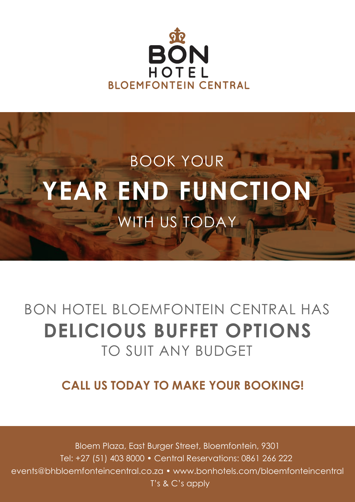



# BON HOTEL BLOEMFONTEIN CENTRAL HAS **DELICIOUS BUFFET OPTIONS** TO SUIT ANY BUDGET

#### **CALL US TODAY TO MAKE YOUR BOOKING!**

Bloem Plaza, East Burger Street, Bloemfontein, 9301 Tel: +27 (51) 403 8000 • Central Reservations: 0861 266 222 events@bhbloemfonteincentral.co.za • www.bonhotels.com/bloemfonteincentral T's & C's apply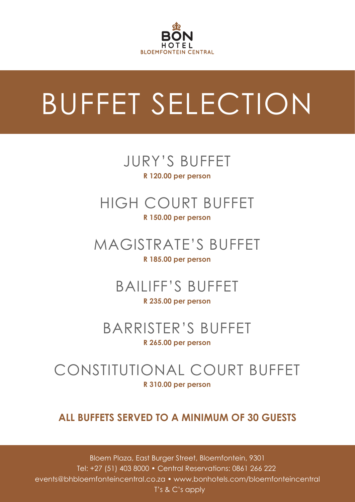

# BUFFET SELECTION

#### JURY'S BUFFET **R 120.00 per person**

#### HIGH COURT BUFFET **R 150.00 per person**

# MAGISTRATE'S BUFFET

#### **R 185.00 per person**

#### BAILIFF'S BUFFET **R 235.00 per person**

# BARRISTER'S BUFFET

#### **R 265.00 per person**

#### CONSTITUTIONAL COURT BUFFET **R 310.00 per person**

#### **ALL BUFFETS SERVED TO A MINIMUM OF 30 GUESTS**

Bloem Plaza, East Burger Street, Bloemfontein, 9301 Tel: +27 (51) 403 8000 • Central Reservations: 0861 266 222 events@bhbloemfonteincentral.co.za • www.bonhotels.com/bloemfonteincentral T's & C's apply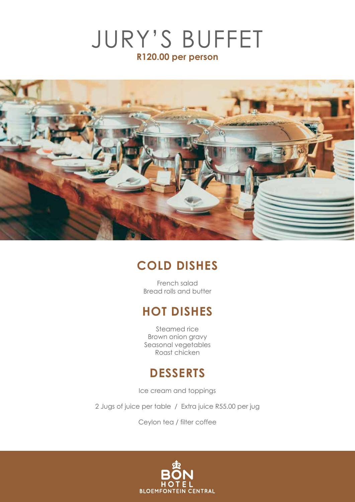



#### **COLD DISHES**

French salad Bread rolls and butter

#### **HOT DISHES**

Steamed rice Brown onion gravy Seasonal vegetables Roast chicken

#### **DESSERTS**

Ice cream and toppings

2 Jugs of juice per table / Extra juice R55.00 per jug

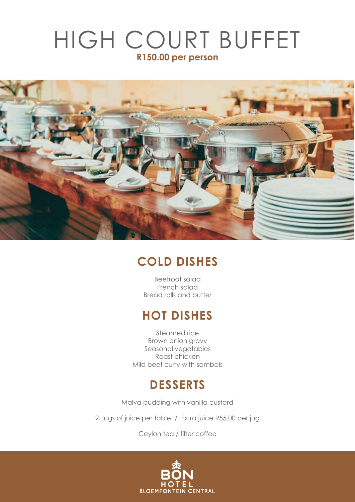# HIGH COURT BUFFET **R150.00 per person**



#### **COLD DISHES**

Beetroot salad French salad Bread rolls and butter

#### **HOT DISHES**

Steamed rice Brown onion gravy Seasonal vegetables Roast chicken Mild beef curry with sambals

#### **DESSERTS**

Malva pudding with vanilla custard

2 Jugs of juice per table / Extra juice R55.00 per jug

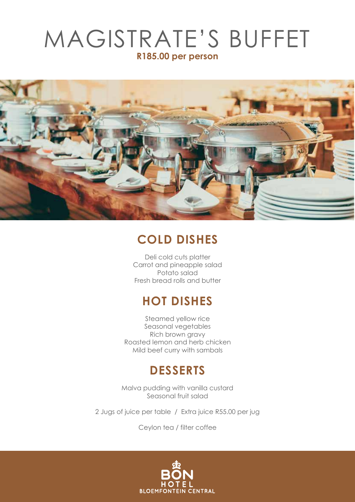## MAGISTRATE'S BUFFET **R185.00 per person**



#### **COLD DISHES**

Deli cold cuts platter Carrot and pineapple salad Potato salad Fresh bread rolls and butter

#### **HOT DISHES**

Steamed yellow rice Seasonal vegetables Rich brown gravy Roasted lemon and herb chicken Mild beef curry with sambals

#### **DESSERTS**

Malva pudding with vanilla custard Seasonal fruit salad

2 Jugs of juice per table / Extra juice R55.00 per jug

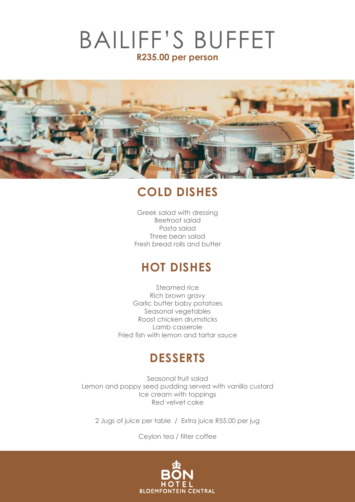### BAILIFF'S BUFFET **R235.00 per person**



#### **COLD DISHES**

Greek salad with dressing Beetroot salad Pasta salad Three bean salad Fresh bread rolls and butter

#### **HOT DISHES**

Steamed rice Rich brown gravy Garlic butter baby potatoes Seasonal vegetables Roast chicken drumsticks Lamb casserole Fried fish with lemon and tartar sauce

#### **DESSERTS**

Seasonal fruit salad Lemon and poppy seed pudding served with vanilla custard Ice cream with toppings Red velvet cake

2 Jugs of juice per table / Extra juice R55.00 per jug

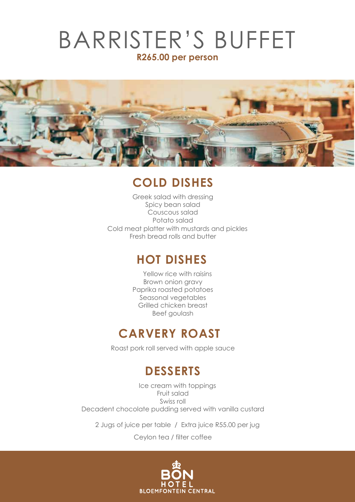### BARRISTER'S BUFFET **R265.00 per person**



#### **COLD DISHES**

Greek salad with dressing Spicy bean salad Couscous salad Cold meat platter with mustards and pickles Potato salad Fresh bread rolls and butter

#### **HOT DISHES**

Yellow rice with raisins Brown onion gravy Paprika roasted potatoes Seasonal vegetables Grilled chicken breast Beef goulash

#### **CARVERY ROAST**

Roast pork roll served with apple sauce

### **DESSERTS**

Ice cream with toppings Fruit salad Swiss roll Decadent chocolate pudding served with vanilla custard

2 Jugs of juice per table / Extra juice R55.00 per jug